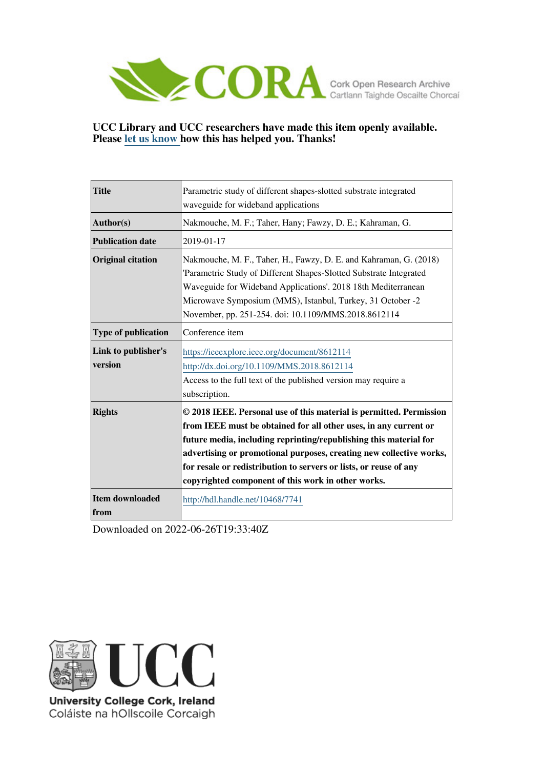

### **UCC Library and UCC researchers have made this item openly available. Please [let us know h](https://libguides.ucc.ie/openaccess/impact?suffix=7741&title=Parametric study of different shapes-slotted substrate integrated waveguide for wideband applications)ow this has helped you. Thanks!**

| <b>Title</b>                   | Parametric study of different shapes-slotted substrate integrated                                                                                                                                                                                                                                                                                                                                              |  |
|--------------------------------|----------------------------------------------------------------------------------------------------------------------------------------------------------------------------------------------------------------------------------------------------------------------------------------------------------------------------------------------------------------------------------------------------------------|--|
|                                | waveguide for wideband applications                                                                                                                                                                                                                                                                                                                                                                            |  |
| Author(s)                      | Nakmouche, M. F.; Taher, Hany; Fawzy, D. E.; Kahraman, G.                                                                                                                                                                                                                                                                                                                                                      |  |
| <b>Publication date</b>        | 2019-01-17                                                                                                                                                                                                                                                                                                                                                                                                     |  |
| <b>Original citation</b>       | Nakmouche, M. F., Taher, H., Fawzy, D. E. and Kahraman, G. (2018)<br>'Parametric Study of Different Shapes-Slotted Substrate Integrated<br>Waveguide for Wideband Applications'. 2018 18th Mediterranean<br>Microwave Symposium (MMS), Istanbul, Turkey, 31 October -2<br>November, pp. 251-254. doi: 10.1109/MMS.2018.8612114                                                                                 |  |
| <b>Type of publication</b>     | Conference item                                                                                                                                                                                                                                                                                                                                                                                                |  |
| Link to publisher's<br>version | https://ieeexplore.ieee.org/document/8612114<br>http://dx.doi.org/10.1109/MMS.2018.8612114<br>Access to the full text of the published version may require a<br>subscription.                                                                                                                                                                                                                                  |  |
| <b>Rights</b>                  | © 2018 IEEE. Personal use of this material is permitted. Permission<br>from IEEE must be obtained for all other uses, in any current or<br>future media, including reprinting/republishing this material for<br>advertising or promotional purposes, creating new collective works,<br>for resale or redistribution to servers or lists, or reuse of any<br>copyrighted component of this work in other works. |  |
| Item downloaded<br>from        | http://hdl.handle.net/10468/7741                                                                                                                                                                                                                                                                                                                                                                               |  |

Downloaded on 2022-06-26T19:33:40Z



University College Cork, Ireland Coláiste na hOllscoile Corcaigh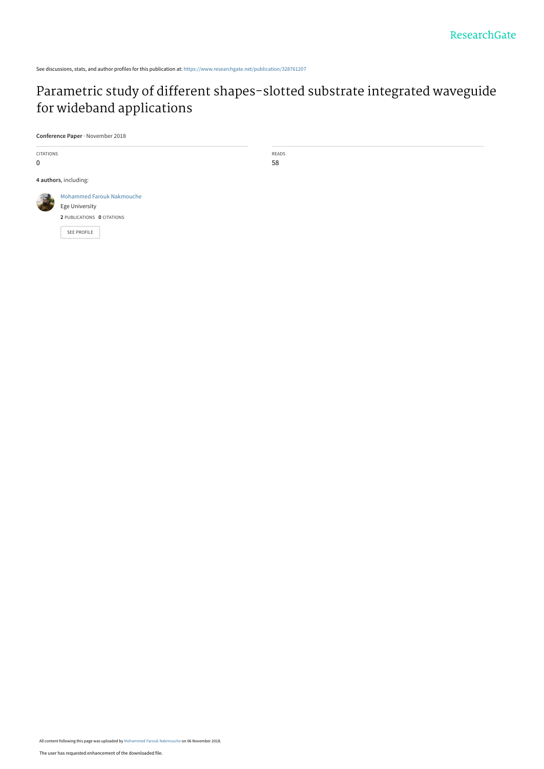See discussions, stats, and author profiles for this publication at: [https://www.researchgate.net/publication/328761207](https://www.researchgate.net/publication/328761207_Parametric_study_of_different_shapes-slotted_substrate_integrated_waveguide_for_wideband_applications?enrichId=rgreq-38723209db872fd153ea6ee7393feabc-XXX&enrichSource=Y292ZXJQYWdlOzMyODc2MTIwNztBUzo2ODk5MzYyNzc3MTY5OTZAMTU0MTUwNTAzNTc0MQ%3D%3D&el=1_x_2&_esc=publicationCoverPdf)

## [Parametric study of different shapes-slotted substrate integrated waveguide](https://www.researchgate.net/publication/328761207_Parametric_study_of_different_shapes-slotted_substrate_integrated_waveguide_for_wideband_applications?enrichId=rgreq-38723209db872fd153ea6ee7393feabc-XXX&enrichSource=Y292ZXJQYWdlOzMyODc2MTIwNztBUzo2ODk5MzYyNzc3MTY5OTZAMTU0MTUwNTAzNTc0MQ%3D%3D&el=1_x_3&_esc=publicationCoverPdf) for wideband applications

**Conference Paper** · November 2018

CITATIONS 0 **4 authors**, including: [Mohammed Farouk Nakmouche](https://www.researchgate.net/profile/Mohammed_Farouk_Nakmouche2?enrichId=rgreq-38723209db872fd153ea6ee7393feabc-XXX&enrichSource=Y292ZXJQYWdlOzMyODc2MTIwNztBUzo2ODk5MzYyNzc3MTY5OTZAMTU0MTUwNTAzNTc0MQ%3D%3D&el=1_x_5&_esc=publicationCoverPdf) [Ege University](https://www.researchgate.net/institution/Ege_University?enrichId=rgreq-38723209db872fd153ea6ee7393feabc-XXX&enrichSource=Y292ZXJQYWdlOzMyODc2MTIwNztBUzo2ODk5MzYyNzc3MTY5OTZAMTU0MTUwNTAzNTc0MQ%3D%3D&el=1_x_6&_esc=publicationCoverPdf) **2** PUBLICATIONS **0** CITATIONS [SEE PROFILE](https://www.researchgate.net/profile/Mohammed_Farouk_Nakmouche2?enrichId=rgreq-38723209db872fd153ea6ee7393feabc-XXX&enrichSource=Y292ZXJQYWdlOzMyODc2MTIwNztBUzo2ODk5MzYyNzc3MTY5OTZAMTU0MTUwNTAzNTc0MQ%3D%3D&el=1_x_7&_esc=publicationCoverPdf)

READS 58

All content following this page was uploaded by [Mohammed Farouk Nakmouche](https://www.researchgate.net/profile/Mohammed_Farouk_Nakmouche2?enrichId=rgreq-38723209db872fd153ea6ee7393feabc-XXX&enrichSource=Y292ZXJQYWdlOzMyODc2MTIwNztBUzo2ODk5MzYyNzc3MTY5OTZAMTU0MTUwNTAzNTc0MQ%3D%3D&el=1_x_10&_esc=publicationCoverPdf) on 06 November 2018.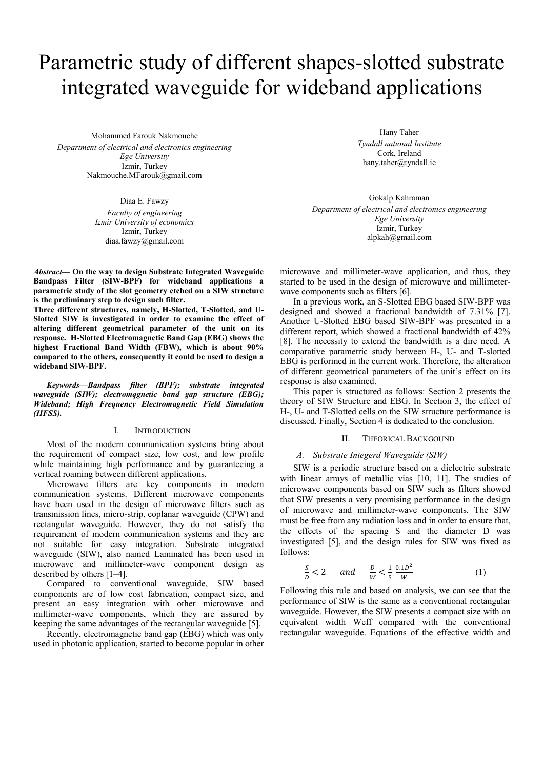# Parametric study of different shapes-slotted substrate integrated waveguide for wideband applications

Mohammed Farouk Nakmouche *Department of electrical and electronics engineering Ege University*  Izmir, Turkey Nakmouche.MFarouk@gmail.com

> Diaa E. Fawzy *Faculty of engineering Izmir University of economics*  Izmir, Turkey diaa.fawzy@gmail.com

*Abstract—* **On the way to design Substrate Integrated Waveguide Bandpass Filter (SIW-BPF) for wideband applications a parametric study of the slot geometry etched on a SIW structure is the preliminary step to design such filter.** 

**Three different structures, namely, H-Slotted, T-Slotted, and U-Slotted SIW is investigated in order to examine the effect of altering different geometrical parameter of the unit on its response. H-Slotted Electromagnetic Band Gap (EBG) shows the highest Fractional Band Width (FBW), which is about 90% compared to the others, consequently it could be used to design a wideband SIW-BPF.** 

*Keywords—Bandpass filter (BPF); substrate integrated waveguide (SIW); electromqgnetic band gap structure (EBG); Wideband; High Frequency Electromagnetic Field Simulation (HFSS).* 

#### I. INTRODUCTION

Most of the modern communication systems bring about the requirement of compact size, low cost, and low profile while maintaining high performance and by guaranteeing a vertical roaming between different applications.

Microwave filters are key components in modern communication systems. Different microwave components have been used in the design of microwave filters such as transmission lines, micro-strip, coplanar waveguide (CPW) and rectangular waveguide. However, they do not satisfy the requirement of modern communication systems and they are not suitable for easy integration. Substrate integrated waveguide (SIW), also named Laminated has been used in microwave and millimeter-wave component design as described by others [1–4].

Compared to conventional waveguide, SIW based components are of low cost fabrication, compact size, and present an easy integration with other microwave and millimeter-wave components, which they are assured by keeping the same advantages of the rectangular waveguide [5].

Recently, electromagnetic band gap (EBG) which was only used in photonic application, started to become popular in other

Hany Taher *Tyndall national Institute*  Cork, Ireland hany.taher@tyndall.ie

Gokalp Kahraman *Department of electrical and electronics engineering Ege University*  Izmir, Turkey alpkah@gmail.com

microwave and millimeter-wave application, and thus, they started to be used in the design of microwave and millimeterwave components such as filters [6].

In a previous work, an S-Slotted EBG based SIW-BPF was designed and showed a fractional bandwidth of 7.31% [7]. Another U-Slotted EBG based SIW-BPF was presented in a different report, which showed a fractional bandwidth of 42% [8]. The necessity to extend the bandwidth is a dire need. A comparative parametric study between H-, U- and T-slotted EBG is performed in the current work. Therefore, the alteration of different geometrical parameters of the unit's effect on its response is also examined.

This paper is structured as follows: Section 2 presents the theory of SIW Structure and EBG. In Section 3, the effect of H-, U- and T-Slotted cells on the SIW structure performance is discussed. Finally, Section 4 is dedicated to the conclusion.

#### II. THEORICAL BACKGOUND

#### *A. Substrate Integerd Waveguide (SIW)*

SIW is a periodic structure based on a dielectric substrate with linear arrays of metallic vias [10, 11]. The studies of microwave components based on SIW such as filters showed that SIW presents a very promising performance in the design of microwave and millimeter-wave components. The SIW must be free from any radiation loss and in order to ensure that, the effects of the spacing S and the diameter D was investigated [5], and the design rules for SIW was fixed as follows:

$$
\frac{s}{b} < 2 \quad \text{and} \quad \frac{b}{w} < \frac{1}{5} \frac{0.1D^2}{w} \tag{1}
$$

Following this rule and based on analysis, we can see that the performance of SIW is the same as a conventional rectangular waveguide. However, the SIW presents a compact size with an equivalent width Weff compared with the conventional rectangular waveguide. Equations of the effective width and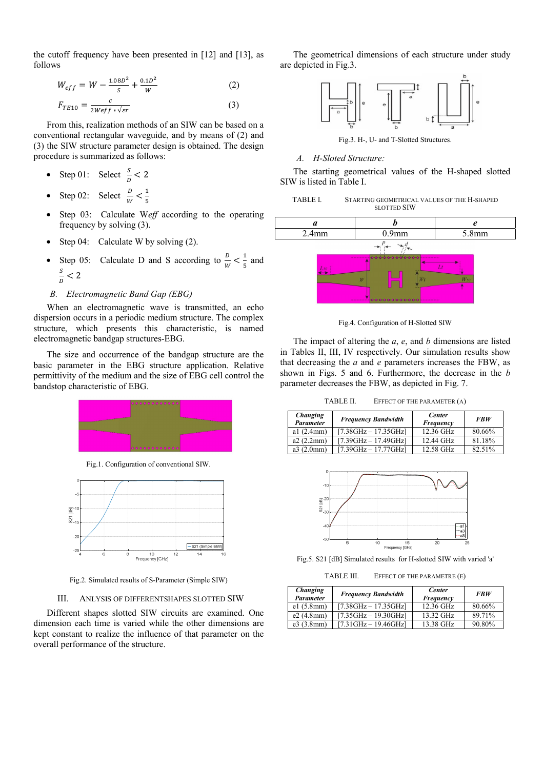the cutoff frequency have been presented in [12] and [13], as follows

$$
W_{eff} = W - \frac{1.08D^2}{s} + \frac{0.1D^2}{W}
$$
 (2)

$$
F_{TE10} = \frac{c}{2W\text{eff} * \sqrt{\text{sr}}}
$$
 (3)

From this, realization methods of an SIW can be based on a conventional rectangular waveguide, and by means of (2) and (3) the SIW structure parameter design is obtained. The design procedure is summarized as follows:

- Step 01: Select  $\frac{s}{D} < 2$
- Step 02: Select  $\frac{D}{W} < \frac{1}{5}$
- Step 03: Calculate W*eff* according to the operating frequency by solving (3).
- Step 04: Calculate W by solving (2).
- Step 05: Calculate D and S according to  $\frac{D}{W} < \frac{1}{5}$  and  $\frac{s}{D}$  < 2

#### *B. Electromagnetic Band Gap (EBG)*

When an electromagnetic wave is transmitted, an echo dispersion occurs in a periodic medium structure. The complex structure, which presents this characteristic, is named electromagnetic bandgap structures-EBG.

The size and occurrence of the bandgap structure are the basic parameter in the EBG structure application. Relative permittivity of the medium and the size of EBG cell control the bandstop characteristic of EBG.



Fig.1. Configuration of conventional SIW.



Fig.2. Simulated results of S-Parameter (Simple SIW)

#### III. ANLYSIS OF DIFFERENTSHAPES SLOTTED SIW

Different shapes slotted SIW circuits are examined. One dimension each time is varied while the other dimensions are kept constant to realize the influence of that parameter on the overall performance of the structure.

The geometrical dimensions of each structure under study are depicted in Fig.3.



Fig.3. H-, U- and T-Slotted Structures.

#### *A. H-Sloted Structure:*

The starting geometrical values of the H-shaped slotted SIW is listed in Table I.

TABLE I. STARTING GEOMETRICAL VALUES OF THE H-SHAPED SLOTTED SIW



Fig.4. Configuration of H-Slotted SIW

The impact of altering the *a*, *e*, and *b* dimensions are listed in Tables II, III, IV respectively. Our simulation results show that decreasing the *a* and *e* parameters increases the FBW, as shown in Figs. 5 and 6. Furthermore, the decrease in the *b* parameter decreases the FBW, as depicted in Fig. 7.

TABLE II. EFFECT OF THE PARAMETER (A)

| Changing<br><b>Parameter</b> | <b>Frequency Bandwidth</b> | <b>Center</b><br>Frequency | <b>FBW</b> |
|------------------------------|----------------------------|----------------------------|------------|
| al $(2.4mm)$                 | $[7.38GHz - 17.35GHz]$     | 12.36 GHz                  | 80.66%     |
| a2(2.2mm)                    | $[7.39GHz - 17.49GHz]$     | 12.44 GHz                  | 81.18%     |
| a3(2.0mm)                    | $[7.39GHz - 17.77GHz]$     | 12.58 GHz                  | 82.51%     |



Fig.5. S21 [dB] Simulated results for H-slotted SIW with varied 'a'

TABLE III. EFFECT OF THE PARAMETRE (E)

| <b>Changing</b><br>Parameter | <b>Frequency Bandwidth</b>             | <b>Center</b><br>Frequency | <b>FBW</b> |
|------------------------------|----------------------------------------|----------------------------|------------|
| el(5.8mm)                    | $[7.38GHz - 17.35GHz]$                 | 12.36 GHz                  | 80.66%     |
| e2(4.8mm)                    | $[7.35GHz - 19.30GHz]$                 | 13.32 GHz                  | 89.71%     |
| e3(3.8mm)                    | $[7.31 \text{GHz} - 19.46 \text{GHz}]$ | 13.38 GHz                  | 90.80%     |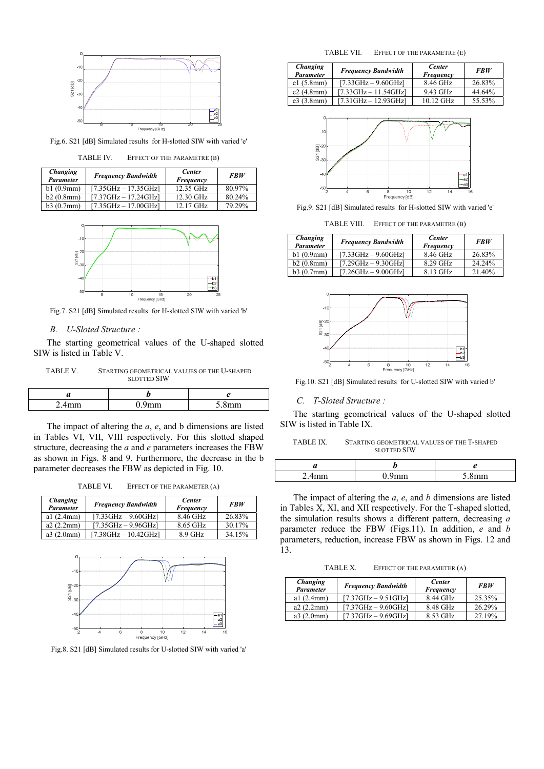

Fig.6. S21 [dB] Simulated results for H-slotted SIW with varied 'e'

| <b>TABLE IV.</b> | EFFECT OF THE PARAMETRE (B) |  |
|------------------|-----------------------------|--|
|------------------|-----------------------------|--|

| <b>Changing</b><br><b>Parameter</b> | <b>Frequency Bandwidth</b>             | <b>Center</b><br>Frequency | <b>FBW</b> |
|-------------------------------------|----------------------------------------|----------------------------|------------|
| b1(0.9mm)                           | $[7.35GHz - 17.35GHz]$                 | 12.35 GHz                  | 80.97%     |
| b2(0.8mm)                           | $[7.37GHz - 17.24GHz]$                 | 12.30 GHz                  | 80.24%     |
| b3(0.7mm)                           | $[7.35 \text{GHz} - 17.00 \text{GHz}]$ | $12.17$ GHz                | 79.29%     |



Fig.7. S21 [dB] Simulated results for H-slotted SIW with varied 'b'

#### *B. U-Sloted Structure :*

The starting geometrical values of the U-shaped slotted SIW is listed in Table V.

TABLE V. STARTING GEOMETRICAL VALUES OF THE U-SHAPED SLOTTED SIW

| u       |                   |
|---------|-------------------|
| ,,,,,,, | mm<br>$\check{ }$ |

The impact of altering the *a*, *e*, and b dimensions are listed in Tables VI, VII, VIII respectively. For this slotted shaped structure, decreasing the *a* and *e* parameters increases the FBW as shown in Figs. 8 and 9. Furthermore, the decrease in the b parameter decreases the FBW as depicted in Fig. 10.

TABLE VI. EFFECT OF THE PARAMETER (A)

| Changing<br><b>Parameter</b> | <b>Frequency Bandwidth</b>             | <b>Center</b><br>Frequency | <b>FBW</b> |
|------------------------------|----------------------------------------|----------------------------|------------|
| al $(2.4mm)$                 | $[7.33GHz - 9.60GHz]$                  | 8.46 GHz                   | 26.83%     |
| a2(2.2mm)                    | $[7.35GHz - 9.96GHz]$                  | 8.65 GHz                   | 30.17%     |
| a3(2.0mm)                    | $[7.38 \text{GHz} - 10.42 \text{GHz}]$ | $8.9$ GHz                  | 34.15%     |



Fig.8. S21 [dB] Simulated results for U-slotted SIW with varied 'a'

TABLE VII. EFFECT OF THE PARAMETRE (E)

| <b>Changing</b><br><b>Parameter</b> | <b>Frequency Bandwidth</b>             | <b>Center</b><br>Frequency | <b>FBW</b> |
|-------------------------------------|----------------------------------------|----------------------------|------------|
| el(5.8mm)                           | $[7.33 \text{GHz} - 9.60 \text{GHz}]$  | 8.46 GHz                   | 26.83%     |
| e2(4.8mm)                           | $[7.33 \text{GHz} - 11.54 \text{GHz}]$ | 9.43 GHz                   | 44.64%     |
| e3(3.8mm)                           | $[7.31 \text{GHz} - 12.93 \text{GHz}]$ | $10.12$ GHz                | 55.53%     |



Fig.9. S21 [dB] Simulated results for H-slotted SIW with varied 'e'

TABLE VIII. EFFECT OF THE PARAMETRE (B)

| Changing<br><b>Parameter</b> | <b>Frequency Bandwidth</b>            | <b>Center</b><br>Frequency | <b>FBW</b> |
|------------------------------|---------------------------------------|----------------------------|------------|
| b1(0.9mm)                    | $[7.33 \text{GHz} - 9.60 \text{GHz}]$ | 8.46 GHz                   | 26.83%     |
| b2(0.8mm)                    | $[7.29GHz - 9.30GHz]$                 | 8.29 GHz                   | 24.24%     |
| b3(0.7mm)                    | $[7.26GHz - 9.00GHz]$                 | 8.13 GHz                   | 21.40%     |



Fig.10. S21 [dB] Simulated results for U-slotted SIW with varied b'

#### *C. T-Sloted Structure :*

The starting geometrical values of the U-shaped slotted SIW is listed in Table IX.

TABLE IX. STARTING GEOMETRICAL VALUES OF THE T-SHAPED SLOTTED SIW

| - | ,,,,,,, | $\sim$ $\sim$ |
|---|---------|---------------|

The impact of altering the *a*, *e*, and *b* dimensions are listed in Tables X, XI, and XII respectively. For the T-shaped slotted, the simulation results shows a different pattern, decreasing *a* parameter reduce the FBW (Figs.11). In addition, *e* and *b* parameters, reduction, increase FBW as shown in Figs. 12 and 13.

TABLE X. EFFECT OF THE PARAMETER (A)

| <b>Changing</b><br>Parameter | <b>Frequency Bandwidth</b>            | <b>Center</b><br>Frequency | <b>FBW</b> |
|------------------------------|---------------------------------------|----------------------------|------------|
| al $(2.4mm)$                 | $[7.37GHz - 9.51GHz]$                 | 8.44 GHz                   | 25.35%     |
| a2(2.2mm)                    | $[7.37 \text{GHz} - 9.60 \text{GHz}]$ | 8.48 GHz                   | 26.29%     |
| a3(2.0mm)                    | $[7.37GHz - 9.69GHz]$                 | 8.53 GHz                   | 27.19%     |